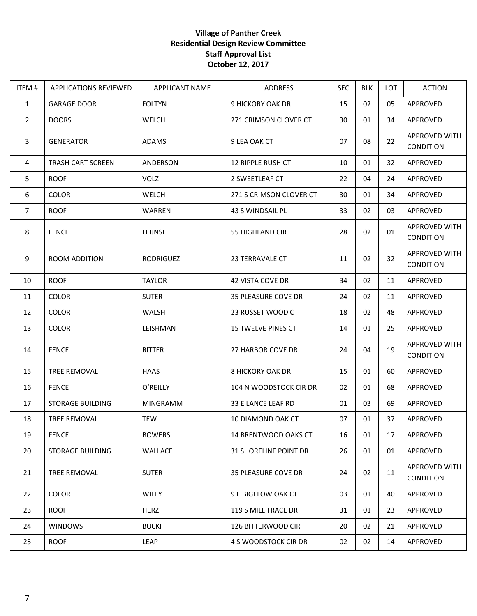## **Village of Panther Creek Residential Design Review Committee Staff Approval List October 12, 2017**

| ITEM#          | <b>APPLICATIONS REVIEWED</b> | <b>APPLICANT NAME</b> | ADDRESS                      | <b>SEC</b> | <b>BLK</b> | LOT | <b>ACTION</b>                     |
|----------------|------------------------------|-----------------------|------------------------------|------------|------------|-----|-----------------------------------|
| $\mathbf{1}$   | <b>GARAGE DOOR</b>           | <b>FOLTYN</b>         | 9 HICKORY OAK DR             | 15         | 02         | 05  | APPROVED                          |
| $\overline{2}$ | <b>DOORS</b>                 | WELCH                 | 271 CRIMSON CLOVER CT        | 30         | 01         | 34  | APPROVED                          |
| $\overline{3}$ | <b>GENERATOR</b>             | <b>ADAMS</b>          | 9 LEA OAK CT                 | 07         | 08         | 22  | APPROVED WITH<br>CONDITION        |
| 4              | <b>TRASH CART SCREEN</b>     | ANDERSON              | 12 RIPPLE RUSH CT            | 10         | 01         | 32  | APPROVED                          |
| 5              | <b>ROOF</b>                  | <b>VOLZ</b>           | 2 SWEETLEAF CT               | 22         | 04         | 24  | APPROVED                          |
| 6              | <b>COLOR</b>                 | WELCH                 | 271 S CRIMSON CLOVER CT      | 30         | 01         | 34  | APPROVED                          |
| $\overline{7}$ | <b>ROOF</b>                  | WARREN                | 43 S WINDSAIL PL             | 33         | 02         | 03  | APPROVED                          |
| 8              | <b>FENCE</b>                 | LEIJNSE               | 55 HIGHLAND CIR              | 28         | 02         | 01  | APPROVED WITH<br>CONDITION        |
| 9              | <b>ROOM ADDITION</b>         | RODRIGUEZ             | 23 TERRAVALE CT              | 11         | 02         | 32  | APPROVED WITH<br>CONDITION        |
| 10             | <b>ROOF</b>                  | <b>TAYLOR</b>         | <b>42 VISTA COVE DR</b>      | 34         | 02         | 11  | APPROVED                          |
| 11             | <b>COLOR</b>                 | <b>SUTER</b>          | <b>35 PLEASURE COVE DR</b>   | 24         | 02         | 11  | APPROVED                          |
| 12             | <b>COLOR</b>                 | WALSH                 | 23 RUSSET WOOD CT            | 18         | 02         | 48  | APPROVED                          |
| 13             | <b>COLOR</b>                 | LEISHMAN              | 15 TWELVE PINES CT           | 14         | 01         | 25  | APPROVED                          |
| 14             | <b>FENCE</b>                 | RITTER                | 27 HARBOR COVE DR            | 24         | 04         | 19  | APPROVED WITH<br>CONDITION        |
| 15             | TREE REMOVAL                 | HAAS                  | <b>8 HICKORY OAK DR</b>      | 15         | 01         | 60  | APPROVED                          |
| 16             | <b>FENCE</b>                 | O'REILLY              | 104 N WOODSTOCK CIR DR       | 02         | 01         | 68  | APPROVED                          |
| 17             | <b>STORAGE BUILDING</b>      | <b>MINGRAMM</b>       | 33 E LANCE LEAF RD           | 01         | 03         | 69  | APPROVED                          |
| 18             | TREE REMOVAL                 | TEW                   | 10 DIAMOND OAK CT            | 07         | 01         | 37  | APPROVED                          |
| 19             | <b>FENCE</b>                 | <b>BOWERS</b>         | 14 BRENTWOOD OAKS CT         | 16         | 01         | 17  | APPROVED                          |
| 20             | <b>STORAGE BUILDING</b>      | WALLACE               | <b>31 SHORELINE POINT DR</b> | 26         | 01         | 01  | APPROVED                          |
| 21             | TREE REMOVAL                 | <b>SUTER</b>          | <b>35 PLEASURE COVE DR</b>   | 24         | 02         | 11  | APPROVED WITH<br><b>CONDITION</b> |
| 22             | <b>COLOR</b>                 | <b>WILEY</b>          | 9 E BIGELOW OAK CT           | 03         | 01         | 40  | APPROVED                          |
| 23             | <b>ROOF</b>                  | <b>HERZ</b>           | 119 S MILL TRACE DR          | 31         | 01         | 23  | APPROVED                          |
| 24             | <b>WINDOWS</b>               | <b>BUCKI</b>          | <b>126 BITTERWOOD CIR</b>    | 20         | 02         | 21  | APPROVED                          |
| 25             | <b>ROOF</b>                  | LEAP                  | 4 S WOODSTOCK CIR DR         | 02         | 02         | 14  | APPROVED                          |